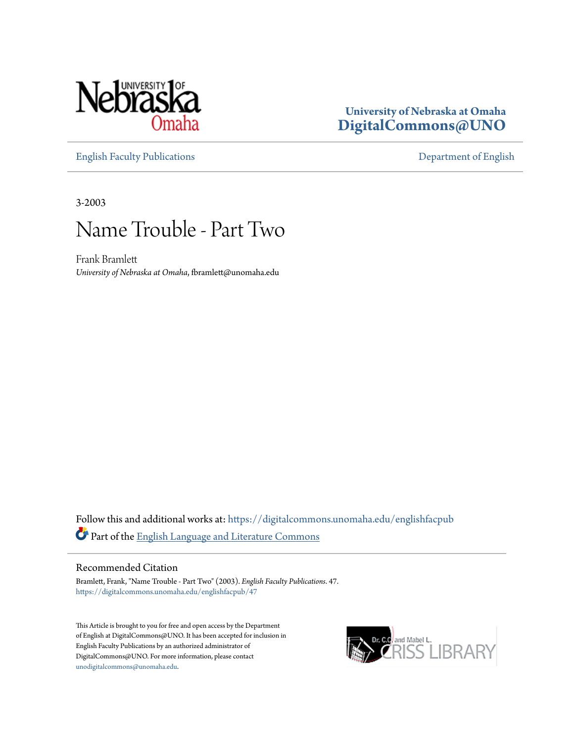

### **University of Nebraska at Omaha [DigitalCommons@UNO](https://digitalcommons.unomaha.edu?utm_source=digitalcommons.unomaha.edu%2Fenglishfacpub%2F47&utm_medium=PDF&utm_campaign=PDFCoverPages)**

[English Faculty Publications](https://digitalcommons.unomaha.edu/englishfacpub?utm_source=digitalcommons.unomaha.edu%2Fenglishfacpub%2F47&utm_medium=PDF&utm_campaign=PDFCoverPages) [Department of English](https://digitalcommons.unomaha.edu/english?utm_source=digitalcommons.unomaha.edu%2Fenglishfacpub%2F47&utm_medium=PDF&utm_campaign=PDFCoverPages)

3-2003

### Name Trouble - Part Two

Frank Bramlett *University of Nebraska at Omaha*, fbramlett@unomaha.edu

Follow this and additional works at: [https://digitalcommons.unomaha.edu/englishfacpub](https://digitalcommons.unomaha.edu/englishfacpub?utm_source=digitalcommons.unomaha.edu%2Fenglishfacpub%2F47&utm_medium=PDF&utm_campaign=PDFCoverPages) Part of the [English Language and Literature Commons](http://network.bepress.com/hgg/discipline/455?utm_source=digitalcommons.unomaha.edu%2Fenglishfacpub%2F47&utm_medium=PDF&utm_campaign=PDFCoverPages)

### Recommended Citation

Bramlett, Frank, "Name Trouble - Part Two" (2003). *English Faculty Publications*. 47. [https://digitalcommons.unomaha.edu/englishfacpub/47](https://digitalcommons.unomaha.edu/englishfacpub/47?utm_source=digitalcommons.unomaha.edu%2Fenglishfacpub%2F47&utm_medium=PDF&utm_campaign=PDFCoverPages)

This Article is brought to you for free and open access by the Department of English at DigitalCommons@UNO. It has been accepted for inclusion in English Faculty Publications by an authorized administrator of DigitalCommons@UNO. For more information, please contact [unodigitalcommons@unomaha.edu](mailto:unodigitalcommons@unomaha.edu).